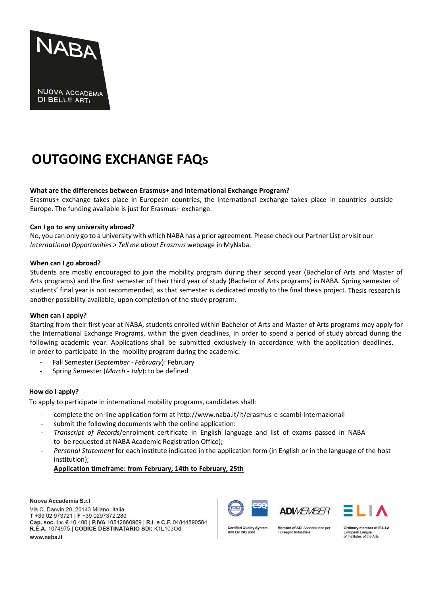

# **OUTGOING EXCHANGE FAQs**

## **What are the differences between Erasmus+ and International Exchange Program?**

Erasmus+ exchange takes place in European countries, the international exchange takes place in countries outside Europe. The funding available is just for Erasmus+ exchange.

## **Can I go to any university abroad?**

No, you can only go to a university with which NABA has a prior agreement. Please check our Partner List or visit our *InternationalOpportunities > Tell me about Erasmus* webpage in MyNaba.

## **When can I go abroad?**

Students are mostly encouraged to join the mobility program during their second year (Bachelor of Arts and Master of Arts programs) and the first semester of their third year of study (Bachelor of Arts programs) in NABA. Spring semester of students' final year is not recommended, as that semester is dedicated mostly to the final thesis project. Thesis research is another possibility available, upon completion of the study program.

## **When can I apply?**

Starting from their first year at NABA, students enrolled within Bachelor of Arts and Master of Arts programs may apply for the International Exchange Programs, within the given deadlines, in order to spend a period of study abroad during the following academic year. Applications shall be submitted exclusively in accordance with the application deadlines. In order to participate in the mobility program during the academic:

- Fall Semester (*September February*): February
- Spring Semester (*March July*): to be defined

# **How do I apply?**

To apply to participate in international mobility programs, candidates shall:

- complete the on-line application form at <http://www.naba.it/it/erasmus-e-scambi-internazionali>
- submit the following documents with the online application:
- *Transcript of Records*/enrolment certificate in English language and list of exams passed in NABA to be requested at NABA Academic Registration Office);
- *Personal Statement* for each institute indicated in the application form (in English or in the language of the host institution);

# **Application timeframe: from February, 14th to February, 25th**

Nuova Accademia S.r.I. Via C. Darwin 20, 20143 Milano, Italia T +39 02 973721 | F +39 0297372.280 Cap. soc. i.v. € 10.400 | P.IVA 10542860969 | R.I. e C.F. 04844890584 R.E.A. 1074975 | CODICE DESTINATARIO SDI: K1L103Od www.naba.it







ality System UNI EN ISO 9001

ember of ADI Associazione per il Disegno Industriale

Ordinary member of E.L.I.A. n League European League<br>of Institutes of the Arts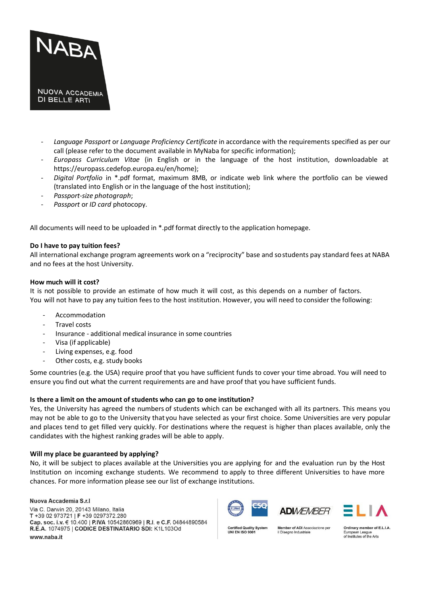

- *Language Passport* or *Language Proficiency Certificate* in accordance with the requirements specified as per our call (please refer to the document available in MyNaba for specific information);
- *Europass Curriculum Vitae* (in English or in the language of the host institution, downloadable at https://europass.cedefop.europa.eu/en/home);
- *Digital Portfolio* in \*.pdf format, maximum 8MB, or indicate web link where the portfolio can be viewed (translated into English or in the language of the host institution);
- *Passport-size photograph*;
- *Passport* or *ID card* photocopy.

All documents will need to be uploaded in \*.pdf format directly to the application homepage.

## **Do I have to pay tuition fees?**

All international exchange program agreements work on a "reciprocity" base and sostudents pay standard fees at NABA and no fees at the host University.

## **How much will it cost?**

It is not possible to provide an estimate of how much it will cost, as this depends on a number of factors. You will not have to pay any tuition fees to the host institution. However, you will need to consider the following:

- **Accommodation**
- Travel costs
- Insurance additional medical insurance in some countries
- Visa (if applicable)
- Living expenses, e.g. food
- Other costs, e.g. study books

Some countries (e.g. the USA) require proof that you have sufficient funds to cover your time abroad. You will need to ensure you find out what the current requirements are and have proof that you have sufficient funds.

## **Is there a limit on the amount of students who can go to one institution?**

Yes, the University has agreed the numbers of students which can be exchanged with all its partners. This means you may not be able to go to the University that you have selected as your first choice. Some Universities are very popular and places tend to get filled very quickly. For destinations where the request is higher than places available, only the candidates with the highest ranking grades will be able to apply.

# **Will my place be guaranteed by applying?**

No, it will be subject to places available at the Universities you are applying for and the evaluation run by the Host Institution on incoming exchange students. We recommend to apply to three different Universities to have more chances. For more information please see our list of exchange institutions.

#### Nuova Accademia S.r.l

Via C. Darwin 20, 20143 Milano, Italia T +39 02 973721 | F +39 0297372.280 Cap. soc. i.v. € 10.400 | P.IVA 10542860969 | R.I. e C.F. 04844890584 R.E.A. 1074975 | CODICE DESTINATARIO SDI: K1L103Od www.naba.it





ality System UNI EN ISO 9001

ember of ADI Associazione per il Disegno Industriale

Ordinary member of E.L.I.A. n League of Institutes of the Arts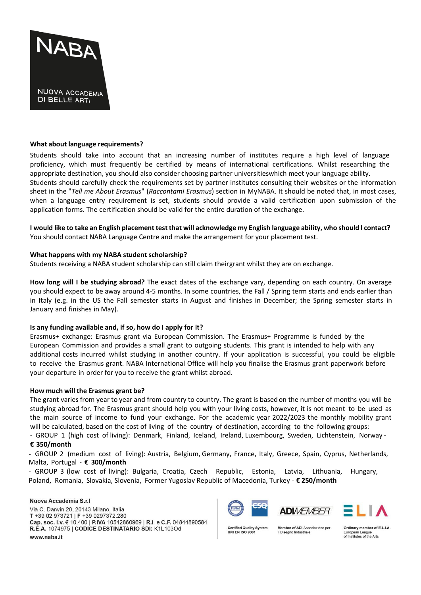

#### **What about language requirements?**

Students should take into account that an increasing number of institutes require a high level of language proficiency, which must frequently be certified by means of international certifications. Whilst researching the appropriate destination, you should also consider choosing partner universitieswhich meet your language ability. Students should carefully check the requirements set by partner institutes consulting their websites or the information sheet in the "*Tell me About Erasmus*" (*Raccontami Erasmus*) section in MyNABA. It should be noted that, in most cases, when a language entry requirement is set, students should provide a valid certification upon submission of the application forms. The certification should be valid for the entire duration of the exchange.

I would like to take an English placement test that will acknowledge my English language ability, who should I contact? You should contact NABA Language Centre and make the arrangement for your placement test.

#### **What happens with my NABA student scholarship?**

Students receiving a NABA student scholarship can still claim theirgrant whilst they are on exchange.

**How long will I be studying abroad?** The exact dates of the exchange vary, depending on each country. On average you should expect to be away around 4-5 months. In some countries, the Fall / Spring term starts and ends earlier than in Italy (e.g. in the US the Fall semester starts in August and finishes in December; the Spring semester starts in January and finishes in May).

## **Is any funding available and, if so, how do I apply for it?**

Erasmus+ exchange: Erasmus grant via European Commission. The Erasmus+ Programme is funded by the European Commission and provides a small grant to outgoing students. This grant is intended to help with any additional costs incurred whilst studying in another country. If your application is successful, you could be eligible to receive the Erasmus grant. NABA International Office will help you finalise the Erasmus grant paperwork before your departure in order for you to receive the grant whilst abroad.

#### **How much will the Erasmus grant be?**

The grant varies from year to year and from country to country. The grant is based on the number of months you will be studying abroad for. The Erasmus grant should help you with your living costs, however, it is not meant to be used as the main source of income to fund your exchange. For the academic year 2022/2023 the monthly mobility grant will be calculated, based on the cost of living of the country of destination, according to the following groups:

# - GROUP 1 (high cost of living): Denmark, Finland, Iceland, Ireland, Luxembourg, Sweden, Lichtenstein, Norway - **€ 350/month**

- GROUP 2 (medium cost of living): Austria, Belgium, Germany, France, Italy, Greece, Spain, Cyprus, Netherlands, Malta, Portugal - **€ 300/month**

- GROUP 3 (low cost of living): Bulgaria, Croatia, Czech Republic, Estonia, Latvia, Lithuania, Hungary, Poland, Romania, Slovakia, Slovenia, Former Yugoslav Republic of Macedonia, Turkey - **€ 250/month**

#### Nuova Accademia S.r.I. Via C. Darwin 20, 20143 Milano, Italia T +39 02 973721 | F +39 0297372.280 Cap. soc. i.v. € 10.400 | P.IVA 10542860969 | R.I. e C.F. 04844890584 R.E.A. 1074975 | CODICE DESTINATARIO SDI: K1L103Od www.naba.it





ality System UNI EN ISO 9001

ember of ADI Associazione per il Disegno Industriale

Ordinary member of E.L.I.A. n League of Institutes of the Arts